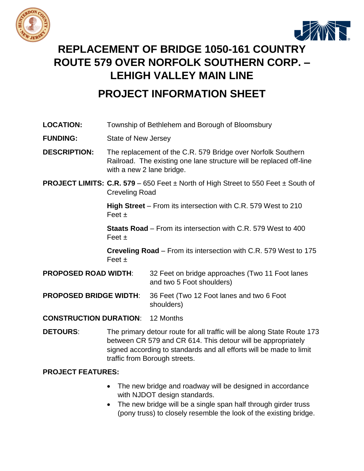



## **REPLACEMENT OF BRIDGE 1050-161 COUNTRY ROUTE 579 OVER NORFOLK SOUTHERN CORP. – LEHIGH VALLEY MAIN LINE**

## **PROJECT INFORMATION SHEET**

| <b>LOCATION:</b>              | Township of Bethlehem and Borough of Bloomsbury                                                                                                                                                                                                                                                       |                                                                              |
|-------------------------------|-------------------------------------------------------------------------------------------------------------------------------------------------------------------------------------------------------------------------------------------------------------------------------------------------------|------------------------------------------------------------------------------|
| <b>FUNDING:</b>               | State of New Jersey                                                                                                                                                                                                                                                                                   |                                                                              |
| <b>DESCRIPTION:</b>           | The replacement of the C.R. 579 Bridge over Norfolk Southern<br>Railroad. The existing one lane structure will be replaced off-line<br>with a new 2 lane bridge.                                                                                                                                      |                                                                              |
|                               | <b>PROJECT LIMITS: C.R. 579</b> – 650 Feet $\pm$ North of High Street to 550 Feet $\pm$ South of<br><b>Creveling Road</b><br><b>High Street</b> – From its intersection with C.R. 579 West to 210<br>Feet $\pm$<br><b>Staats Road</b> – From its intersection with C.R. 579 West to 400<br>Feet $\pm$ |                                                                              |
|                               |                                                                                                                                                                                                                                                                                                       |                                                                              |
|                               |                                                                                                                                                                                                                                                                                                       |                                                                              |
| Feet $\pm$                    |                                                                                                                                                                                                                                                                                                       | <b>Creveling Road</b> – From its intersection with C.R. 579 West to 175      |
| <b>PROPOSED ROAD WIDTH:</b>   |                                                                                                                                                                                                                                                                                                       | 32 Feet on bridge approaches (Two 11 Foot lanes<br>and two 5 Foot shoulders) |
| <b>PROPOSED BRIDGE WIDTH:</b> |                                                                                                                                                                                                                                                                                                       | 36 Feet (Two 12 Foot lanes and two 6 Foot<br>shoulders)                      |
| <b>CONSTRUCTION DURATION:</b> |                                                                                                                                                                                                                                                                                                       | 12 Months                                                                    |

**DETOURS:** The primary detour route for all traffic will be along State Route 173 between CR 579 and CR 614. This detour will be appropriately signed according to standards and all efforts will be made to limit traffic from Borough streets.

## **PROJECT FEATURES:**

- The new bridge and roadway will be designed in accordance with NJDOT design standards.
- The new bridge will be a single span half through girder truss (pony truss) to closely resemble the look of the existing bridge.